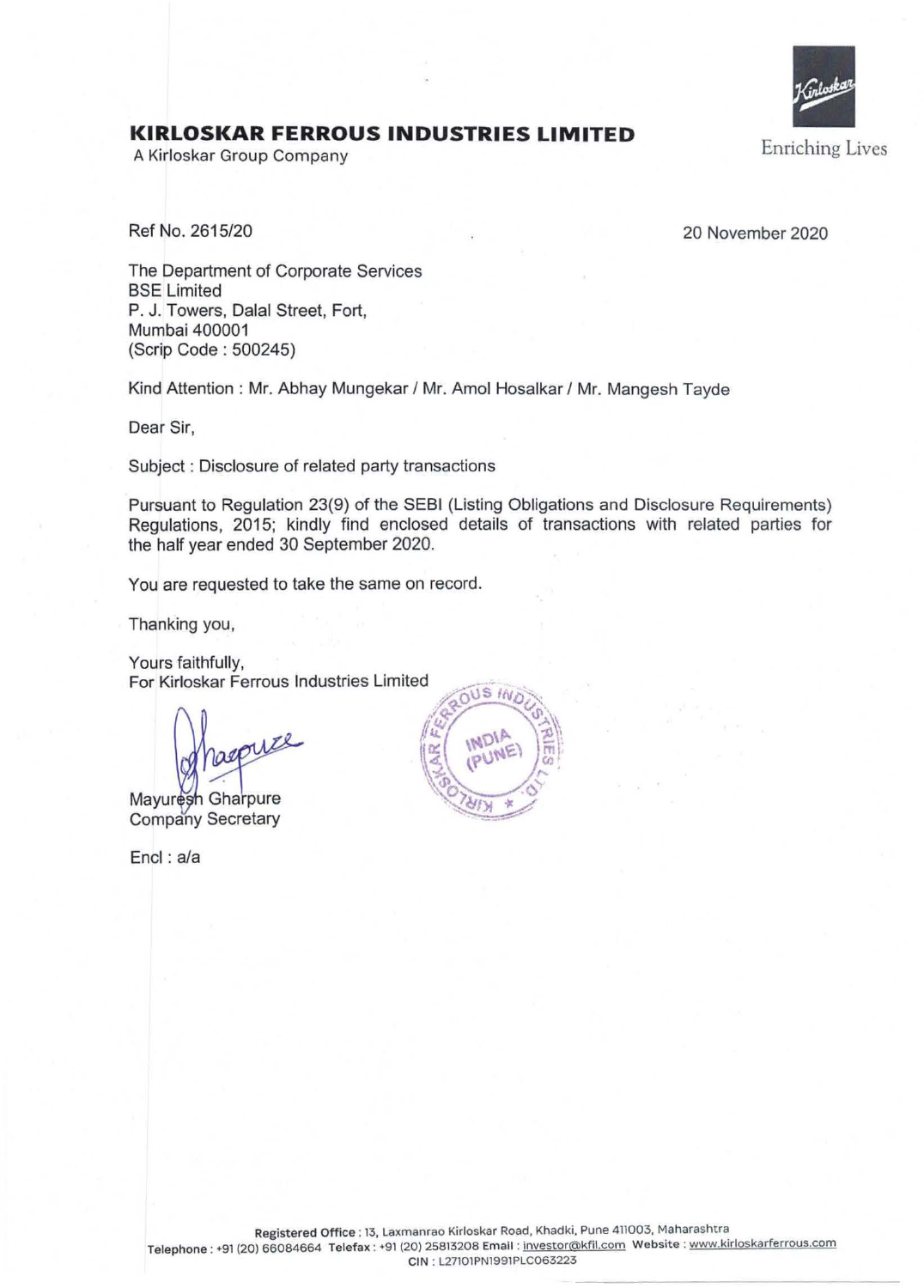

## **KIRLOSKAR FERROUS INDUSTRIES LIMITED**

A Kirloskar Group Company

Ref No. 2615/20 20 November 2020

The Department of Corporate Services BSE Limited P. J. Towers, Dalal Street, Fort, Mumbai 400001 (Scrip Code : 500245)

Kind Attention : Mr. Abhay Mungekar / Mr. Amol Hosalkar / Mr. Mangesh Tayde

Dear Sir,

Subject : Disclosure of related party transactions

Pursuant to Regulation 23(9) of the SEBI (Listing Obligations and Disclosure Requirements) Regulations, 2015; kindly find enclosed details of transactions with related parties for the half year ended 30 September 2020.

You are requested to take the same on record.

Thanking you,

Yours faithfully, For Kirloskar Ferrous Industries Limited

Mayuresh Gharpure Company Secretary

Encl: a/a